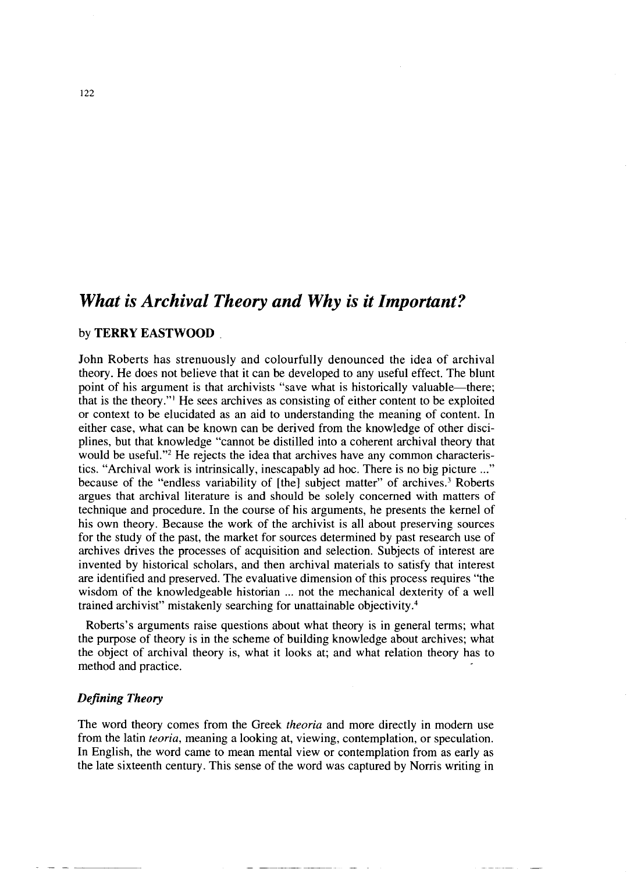# *What is Archival Theory and Why is it Important?*

# by **TERRY EASTWOOD**

John Roberts has strenuously and colourfully denounced the idea of archival theory. He does not believe that it can be developed to any useful effect. The blunt point of his argument is that archivists "save what is historically valuable-there; that is the theory."' He sees archives as consisting of either content to be exploited or context to be elucidated as an aid to understanding the meaning of content. In either case, what can be known can be derived from the knowledge of other disciplines, but that knowledge "cannot be distilled into a coherent archival theory that would be useful."<sup>2</sup> He rejects the idea that archives have any common characteristics. "Archival work is intrinsically, inescapably ad hoc. There is no big picture ..." because of the "endless variability of [the] subject matter" of archives.<sup>3</sup> Roberts argues that archival literature is and should be solely concerned with matters of technique and procedure. In the course of his arguments, he presents the kernel of his own theory. Because the work of the archivist is all about preserving sources for the study of the past, the market for sources determined by past research use of archives drives the processes of acquisition and selection. Subjects of interest are invented by historical scholars, and then archival materials to satisfy that interest are identified and preserved. The evaluative dimension of this process requires "the wisdom of the knowledgeable historian ... not the mechanical dexterity of a well trained archivist" mistakenly searching for unattainable objectivity.<sup>4</sup>

Roberts's arguments raise questions about what theory is in general terms; what the purpose of theory is in the scheme of building knowledge about archives; what the object of archival theory is, what it looks at; and what relation theory has to method and practice.

# *Defining Theory*

The word theory comes from the Greek *theoria* and more directly in modern use from the latin *teoria,* meaning a looking at, viewing, contemplation, or speculation. In English, the word came to mean mental view or contemplation from as early as the late sixteenth century. This sense of the word was captured by Norris writing in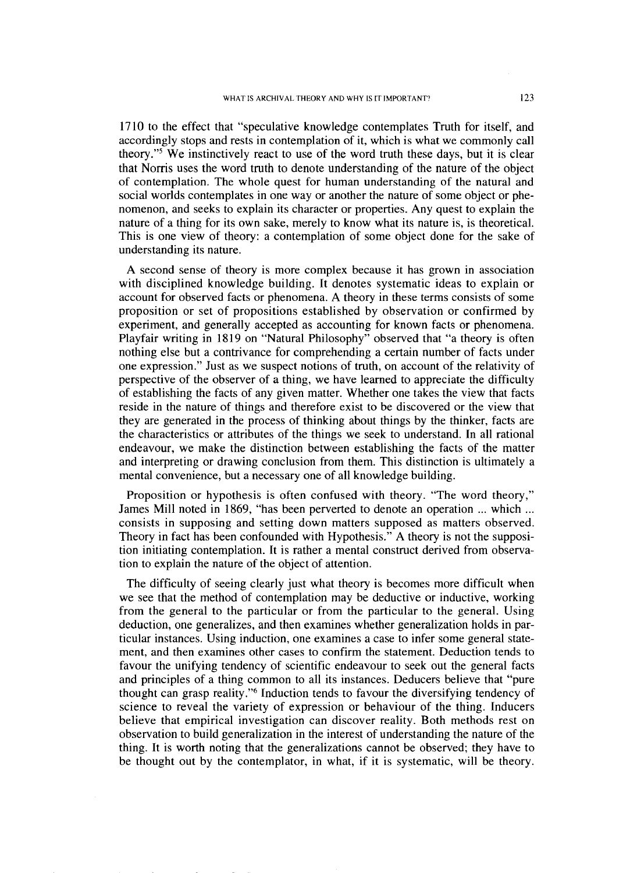1710 to the effect that "speculative knowledge contemplates Truth for itself, and accordingly stops and rests in contemplation of it, which is what we commonly call theory."<sup>5</sup> We instinctively react to use of the word truth these days, but it is clear that Norris uses the word truth to denote understanding of the nature of the object of contemplation. The whole quest for human understanding of the natural and social worlds contemplates in one way or another the nature of some object or phenomenon, and seeks to explain its character or properties. Any quest to explain the nature of a thing for its own sake, merely to know what its nature is, is theoretical. This is one view of theory: a contemplation of some object done for the sake of understanding its nature.

A second sense of theory is more complex because it has grown in association with disciplined knowledge building. It denotes systematic ideas to explain or account for observed facts or phenomena. A theory in these terms consists of some proposition or set of propositions established by observation or confirmed by experiment, and generally accepted as accounting for known facts or phenomena. Playfair writing in **1819** on "Natural Philosophy" observed that "a theory is often nothing else but a contrivance for comprehending a certain number of facts under one expression." Just as we suspect notions of truth, on account of the relativity of perspective of the observer of a thing, we have learned to appreciate the difficulty of establishing the facts of any given matter. Whether one takes the view that facts reside in the nature of things and therefore exist to be discovered or the view that they are generated in the process of thinking about things by the thinker, facts are the characteristics or attributes of the things we seek to understand. In all rational **<sup>u</sup>** endeavour, we make the distinction between establishing the facts of the matter and interpreting or drawing conclusion from them. This distinction is ultimately a mental convenience, but a necessary one of all knowledge building.

Proposition or hypothesis is often confused with theory. "The word theory," James Mill noted in **1869,** "has been perverted to denote an operation ... which ... consists in supposing and setting down matters supposed as matters observed. Theory in fact has been confounded with Hypothesis." A theory is not the supposition initiating contemplation. It is rather a mental construct derived from observation to explain the nature of the object of attention.

The difficulty of seeing clearly just what theory is becomes more difficult when we see that the method of contemplation may be deductive or inductive, working from the general to the particular or from the particular to the general. Using deduction, one generalizes, and then examines whether generalization holds in particular instances. Using induction, one examines a case to infer some general statement, and then examines other cases to confirm the statement. Deduction tends to favour the unifying tendency of scientific endeavour to seek out the general facts and principles of a thing common to all its instances. Deducers believe that "pure thought can grasp reality."<sup>6</sup> Induction tends to favour the diversifying tendency of science to reveal the variety of expression or behaviour of the thing. Inducers believe that empirical investigation can discover reality. Both methods rest on observation to build generalization in the interest of understanding the nature of the thing. It is worth noting that the generalizations cannot be observed; they have to be thought out by the contemplator, in what, if it is systematic, will be theory.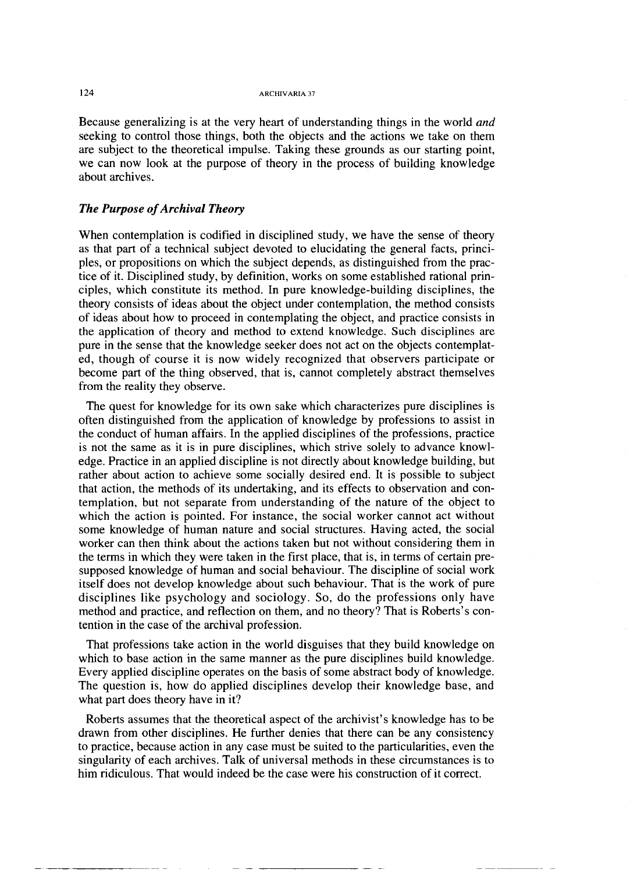**124 ARCHIVARIA** <sup>37</sup>

Because generalizing is at the very heart of understanding things in the world and seeking to control those things, both the objects and the actions we take on them are subject to the theoretical impulse. Taking these grounds as our starting point, we can now look at the purpose of theory in the process of building knowledge about archives.

## *The Purpose of Archival Theory*

When contemplation is codified in disciplined study, we have the sense of theory as that part of a technical subject devoted to elucidating the general facts, principles, or propositions on which the subject depends, as distinguished from the practice of it. Disciplined study, by definition, works on some established rational principles, which constitute its method. In pure knowledge-building disciplines, the theory consists of ideas about the object under contemplation, the method consists of ideas about how to proceed in contemplating the object, and practice consists in the application of theory and method to extend knowledge. Such disciplines are pure in the sense that the knowledge seeker does not act on the objects contemplated, though of course it is now widely recognized that observers participate or become part of the thing observed, that is, cannot completely abstract themselves from the reality they observe.

The quest for knowledge for its own sake which characterizes pure disciplines is often distinguished from the application of knowledge by professions to assist in the conduct of human affairs. In the applied disciplines of the professions, practice is not the same as it is in pure disciplines, which strive solely to advance knowledge. Practice in an applied discipline is not directly about knowledge building, but rather about action to achieve some socially desired end. It is possible to subject that action, the methods of its undertaking, and its effects to observation and contemplation, but not separate from understanding of the nature of the object to which the action is pointed. For instance, the social worker cannot act without some knowledge of human nature and social structures. Having acted, the social worker can then think about the actions taken but not without considering them in the terms in which they were taken in the first place, that is, in terms of certain presupposed knowledge of human and social behaviour. The discipline of social work itself does not develop knowledge about such behaviour. That is the work of pure disciplines like psychology and sociology. So, do the professions only have method and practice, and reflection on them, and no theory? That is Roberts's contention in the case of the archival profession.

That professions take action in the world disguises that they build knowledge on which to base action in the same manner as the pure disciplines build knowledge. Every applied discipline operates on the basis of some abstract body of knowledge. The question is, how do applied disciplines develop their knowledge base, and what part does theory have in it?

Roberts assumes that the theoretical aspect of the archivist's knowledge has to be drawn from other disciplines. He further denies that there can be any consistency to practice, because action in any case must be suited to the particularities, even the singularity of each archives. Talk of universal methods in these circumstances is to him ridiculous. That would indeed be the case were his construction of it correct.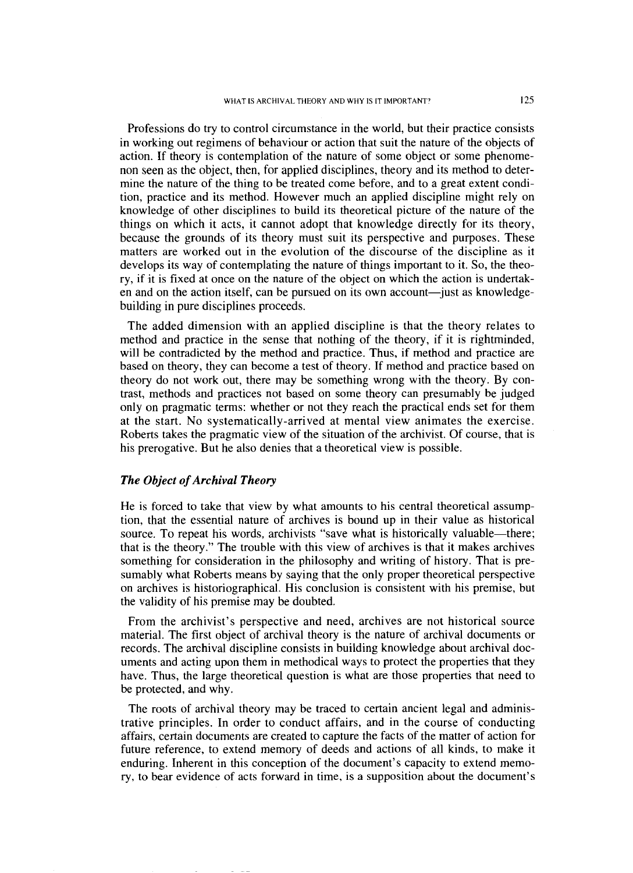Professions do try to control circumstance in the world, but their practice consists in working out regimens of behaviour or action that suit the nature of the objects of action. If theory is contemplation of the nature of some object or some phenomenon seen as the object, then, for applied disciplines, theory and its method to determine the nature of the thing to be treated come before, and to a great extent condition, practice and its method. However much an applied discipline might rely on knowledge of other disciplines to build its theoretical picture of the nature of the things on which it acts, it cannot adopt that knowledge directly for its theory, because the grounds of its theory must suit its perspective and purposes. These matters are worked out in the evolution of the discourse of the discipline as it develops its way of contemplating the nature of things important to it. So, the theory, if it is fixed at once on the nature of the object on which the action is undertaken and on the action itself, can be pursued on its own account-just as knowledgebuilding in pure disciplines proceeds.

The added dimension with an applied discipline is that the theory relates to method and practice in the sense that nothing of the theory, if it is rightminded, will be contradicted by the method and practice. Thus, if method and practice are based on theory, they can become a test of theory. If method and practice based on theory do not work out, there may be something wrong with the theory. By contrast, methods and practices not based on some theory can presumably be judged only on pragmatic terms: whether or not they reach the practical ends set for them at the start. No systematically-arrived at mental view animates the exercise. Roberts takes the pragmatic view of the situation of the archivist. Of course, that is his prerogative. But he also denies that a theoretical view is possible.

## *The Object of Archival Theory*

He is forced to take that view by what amounts to his central theoretical assumption, that the essential nature of archives is bound up in their value as historical source. To repeat his words, archivists "save what is historically valuable—there; that is the theory." The trouble with this view of archives is that it makes archives something for consideration in the philosophy and writing of history. That is presumably what Roberts means by saying that the only proper theoretical perspective on archives is historiographical. His conclusion is consistent with his premise, but the validity of his premise may be doubted.

From the archivist's perspective and need, archives are not historical source material. The first object of archival theory is the nature of archival documents or records. The archival discipline consists in building knowledge about archival documents and acting upon them in methodical ways to protect the properties that they have. Thus, the large theoretical question is what are those properties that need to be protected, and why.

The roots of archival theory may be traced to certain ancient legal and administrative principles. In order to conduct affairs, and in the course of conducting affairs, certain documents are created to capture the facts of the matter of action for future reference, to extend memory of deeds and actions of all kinds, to make it enduring. Inherent in this conception of the document's capacity to extend memory, to bear evidence of acts forward in time, is a supposition about the document's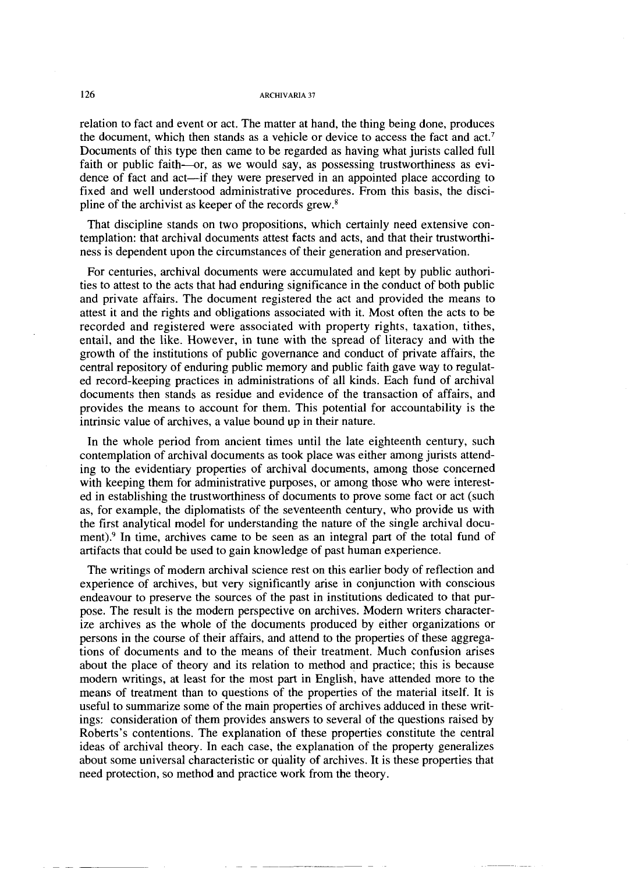#### **126 ARCHIVARIA** 37

relation to fact and event or act. The matter at hand, the thing being done, produces the document, which then stands as a vehicle or device to access the fact and act.7 Documents of this type then came to be regarded as having what jurists called full faith or public faith--or, as we would say, as possessing trustworthiness as evidence of fact and act-if they were preserved in an appointed place according to fixed and well understood administrative procedures. From this basis, the discipline of the archivist as keeper of the records grew.\$

That discipline stands on two propositions, which certainly need extensive contemplation: that archival documents attest facts and acts, and that their trustworthiness is dependent upon the circumstances of their generation and preservation.

For centuries, archival documents were accumulated and kept by public authorities to attest to the acts that had enduring significance in the conduct of both public and private affairs. The document registered the act and provided the means to attest it and the rights and obligations associated with it. Most often the acts to be recorded and registered were associated with property rights, taxation, tithes, entail, and the like. However, in tune with the spread of literacy and with the growth of the institutions of public governance and conduct of private affairs, the central repository of enduring public memory and public faith gave way to regulated record-keeping practices in administrations of all kinds. Each fund of archival documents then stands as residue and evidence of the transaction of affairs, and provides the means to account for them. This potential for accountability is the intrinsic value of archives, a value bound up in their nature.

In the whole period from ancient times until the late eighteenth century, such contemplation of archival documents as took place was either among jurists attending to the evidentiary properties of archival documents, among those concerned with keeping them for administrative purposes, or among those who were interested in establishing the trustworthiness of documents to prove some fact or act (such as, for example, the diplomatists of the seventeenth century, who provide us with the first analytical model for understanding the nature of the single archival document)? In time, archives came to be seen as an integral part of the total fund of artifacts that could be used to gain knowledge of past human experience.

The writings of modern archival science rest on this earlier body of reflection and experience of archives, but very significantly arise in conjunction with conscious endeavour to preserve the sources of the past in institutions dedicated to that purpose. The result is the modern perspective on archives. Modern writers characterize archives as the whole of the documents produced by either organizations or persons in the course of their affairs, and attend to the properties of these aggregations of documents and to the means of their treatment. Much confusion arises about the place of theory and its relation to method and practice; this is because modem writings, at least for the most part in English, have attended more to the means of treatment than to questions of the properties of the material itself. It is useful to summarize some of the main properties of archives adduced in these writings: consideration of them provides answers to several of the questions raised by Roberts's contentions. The explanation of these properties constitute the central ideas of archival theory. In each case, the explanation of the property generalizes about some universal characteristic or quality of archives. It is these properties that need protection, so method and practice work from the theory.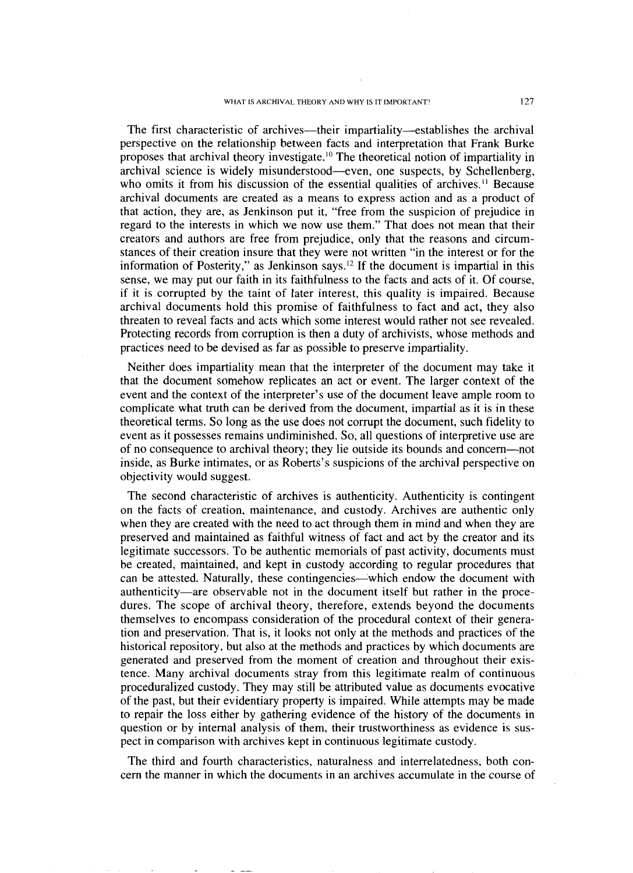The first characteristic of archives—their impartiality—establishes the archival perspective on the relationship between facts and interpretation that Frank Burke proposes that archival theory investigate.'"The theoretical notion of impartiality in archival science is widely misunderstood-even, one suspects, by Schellenberg, who omits it from his discussion of the essential qualities of archives.<sup>11</sup> Because archival documents are created as a means to express action and as a product of that action, they are, as Jenkinson put it, "free from the suspicion of prejudice in regard to the interests in which we now use them." That does not mean that their creators and authors are free from prejudice, only that the reasons and circumstances of their creation insure that they were not written "in the interest or for the information of Posterity," as Jenkinson says.12 If the document is impartial in this sense, we may put our faith in its faithfulness to the facts and acts of it. Of course, if it is corrupted by the taint of later interest, this quality is impaired. Because archival documents hold this promise of faithfulness to fact and act, they also threaten to reveal facts and acts which some interest would rather not see revealed. Protecting records from corruption is then a duty of archivists, whose methods and practices need to be devised as far as possible to preserve impartiality.

Neither does impartiality mean that the interpreter of the document may take it that the document somehow replicates an act or event. The larger context of the event and the context of the interpreter's use of the document leave ample room to complicate what truth can be derived from the document, impartial as it is in these theoretical terms. So long as the use does not corrupt the document, such fidelity to event as it possesses remains undiminished. So, all questions of interpretive use are of no consequence to archival theory; they lie outside its bounds and concern-not inside, as Burke intimates, or as Roberts's suspicions of the archival perspective on objectivity would suggest.

The second characteristic of archives is authenticity. Authenticity is contingent on the facts of creation, maintenance, and custody. Archives are authentic only when they are created with the need to act through them in mind and when they are preserved and maintained as faithful witness of fact and act by the creator and its legitimate successors. To be authentic memorials of past activity, documents must be created, maintained, and kept in custody according to regular procedures that can be attested. Naturally, these contingencies—which endow the document with authenticity-are observable not in the document itself but rather in the procedures. The scope of archival theory, therefore, extends beyond the documents themselves to encompass consideration of the procedural context of their generation and preservation. That is, it looks not only at the methods and practices of the historical repository, but also at the methods and practices by which documents are generated and preserved from the moment of creation and throughout their existence. Many archival documents stray from this legitimate realm of continuous proceduralized custody. They may still be attributed value as documents evocative of the past, but their evidentiary property is impaired. While attempts may be made to repair the loss either by gathering evidence of the history of the documents in question or by internal analysis of them, their trustworthiness as evidence is suspect in comparison with archives kept in continuous legitimate custody.

The third and fourth characteristics, naturalness and interrelatedness, both concern the manner in which the documents in an archives accumulate in the course of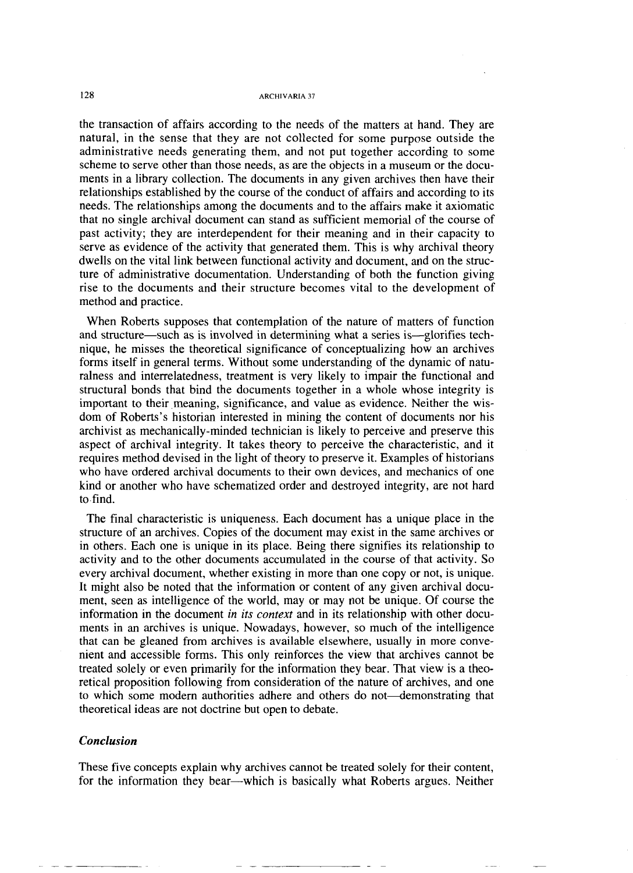the transaction of affairs according to the needs of the matters at hand. They are natural, in the sense that they are not collected for some purpose outside the administrative needs generating them, and not put together according to some scheme to serve other than those needs, as are the objects in a museum or the documents in a library collection. The documents in any given archives then have their relationships established by the course of the conduct of affairs and according to its needs. The relationships among the documents and to the affairs make it axiomatic that no single archival document can stand as sufficient memorial of the course of past activity; they are interdependent for their meaning and in their capacity to serve as evidence of the activity that generated them. This is why archival theory dwells on the vital link between functional activity and document, and on the structure of administrative documentation. Understanding of both the function giving rise to the documents and their structure becomes vital to the development of method and practice.

When Roberts supposes that contemplation of the nature of matters of function and structure—such as is involved in determining what a series is—glorifies technique, he misses the theoretical significance of conceptualizing how an archives forms itself in general terms. Without some understanding of the dynamic of naturalness and interrelatedness, treatment is very likely to impair the functional and structural bonds that bind the documents together in a whole whose integrity is important to their meaning, significance, and value as evidence. Neither the wisdom of Roberts's historian interested in mining the content of documents nor his archivist as mechanically-minded technician is likely to perceive and preserve this aspect of archival integrity. It takes theory to perceive the characteristic, and it requires method devised in the light of theory to preserve it. Examples of historians who have ordered archival documents to their own devices, and mechanics of one kind or another who have schematized order and destroyed integrity, are not hard to find.

The final characteristic is uniqueness. Each document has a unique place in the structure of an archives. Copies of the document may exist in the same archives or in others. Each one is unique in its place. Being there signifies its relationship to activity and to the other documents accumulated in the course of that activity. So every archival document, whether existing in more than one copy or not, is unique. It might also be noted that the information or content of any given archival document, seen as intelligence of the world, may or may not be unique. Of course the information in the document *in* its *context* and in its relationship with other documents in an archives is unique. Nowadays, however, so much of the intelligence that can be gleaned from archives is available elsewhere, usually in more convenient and accessible forms. This only reinforces the view that archives cannot be treated solely or even primarily for the information they bear. That view is a theoretical proposition following from consideration of the nature of archives, and one to which some modern authorities adhere and others do not—demonstrating that theoretical ideas are not doctrine but open to debate.

### *Conclusion*

These five concepts explain why archives cannot be treated solely for their content, for the information they bear—which is basically what Roberts argues. Neither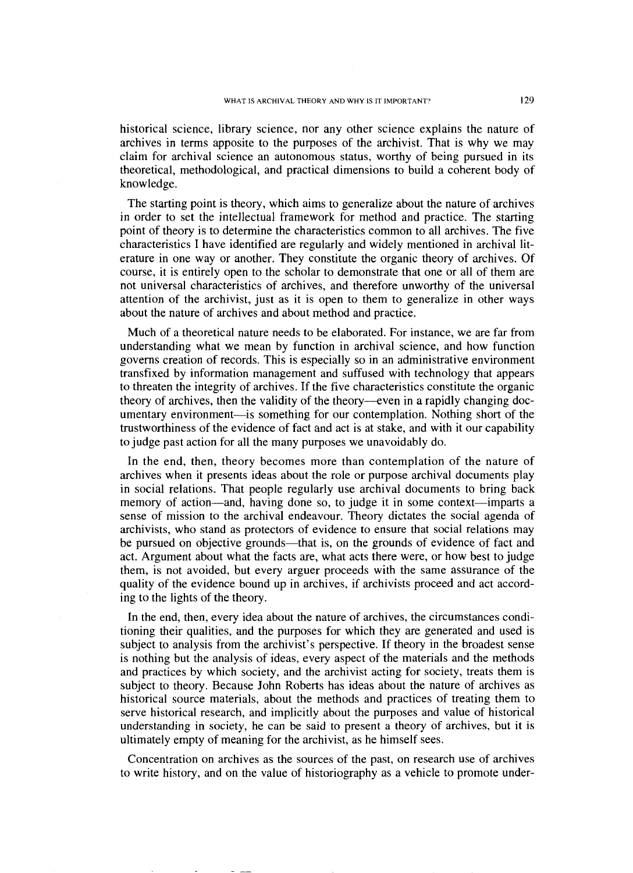historical science, library science, nor any other science explains the nature of archives in terms apposite to the purposes of the archivist. That is why we may claim for archival science an autonomous status, worthy of being pursued in its theoretical, methodological, and practical dimensions to build a coherent body of knowledge.

The starting point is theory, which aims to generalize about the nature of archives in order to set the intellectual framework for method and practice. The starting point of theory is to determine the characteristics common to all archives. The five characteristics I have identified are regularly and widely mentioned in archival literature in one way or another. They constitute the organic theory of archives. Of course, it is entirely open to the scholar to demonstrate that one or all of them are not universal characteristics of archives, and therefore unworthy of the universal attention of the archivist, just as it is open to them to generalize in other ways about the nature of archives and about method and practice.

Much of a theoretical nature needs to be elaborated. For instance, we are far from understanding what we mean by function in archival science, and how function governs creation of records. This is especially so in an administrative environment transfixed by information management and suffused with technology that appears to threaten the integrity of archives. If the five characteristics constitute the organic theory of archives, then the validity of the theory--even in a rapidly changing documentary environment-is something for our contemplation. Nothing short of the trustworthiness of the evidence of fact and act is at stake, and with it our capability to judge past action for all the many purposes we unavoidably do.

In the end, then, theory becomes more than contemplation of the nature of archives when it presents ideas about the role or purpose archival documents play in social relations. That people regularly use archival documents to bring back memory of action—and, having done so, to judge it in some context—imparts a sense of mission to the archival endeavour. Theory dictates the social agenda of archivists, who stand as protectors of evidence to ensure that social relations may be pursued on objective grounds—that is, on the grounds of evidence of fact and act. Argument about what the facts are, what acts there were, or how best to judge them, is not avoided, but every arguer proceeds with the same assurance of the quality of the evidence bound up in archives, if archivists proceed and act according to the lights of the theory.

In the end, then, every idea about the nature of archives, the circumstances conditioning their qualities, and the purposes for which they are generated and used is subject to analysis from the archivist's perspective. If theory in the broadest sense is nothing but the analysis of ideas, every aspect of the materials and the methods and practices by which society, and the archivist acting for society, treats them is subject to theory. Because John Roberts has ideas about the nature of archives as historical source materials, about the methods and practices of treating them to serve historical research, and implicitly about the purposes and value of historical understanding in society, he can be said *to* present a theory of archives, but it is ultimately empty of meaning for the archivist, as he himself sees.

Concentration on archives as the sources of the past, on research use of archives to write history, and on the value of historiography as a vehicle to promote under